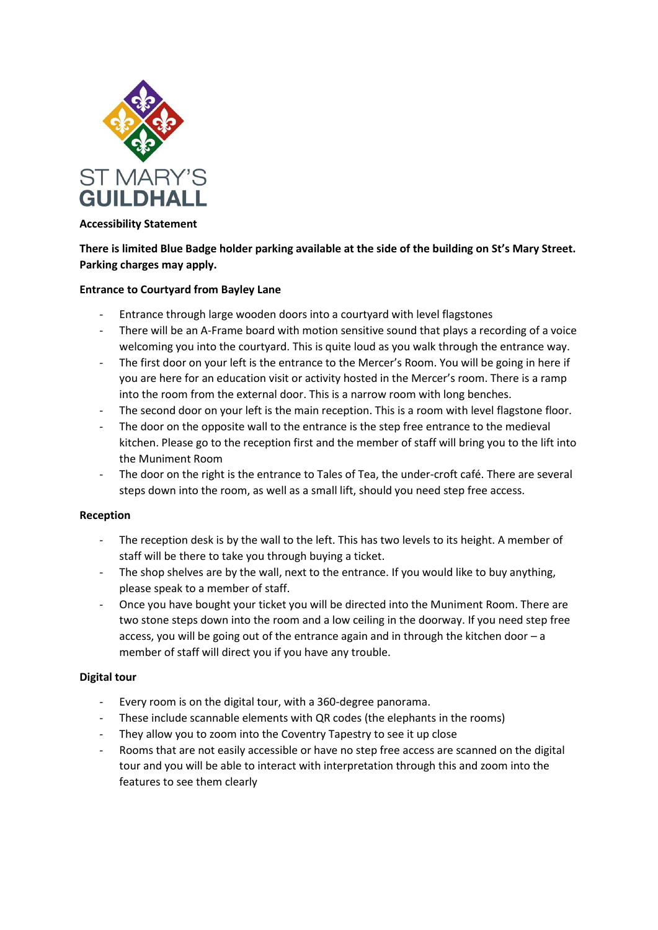

### **Accessibility Statement**

# **There is limited Blue Badge holder parking available at the side of the building on St's Mary Street. Parking charges may apply.**

### **Entrance to Courtyard from Bayley Lane**

- Entrance through large wooden doors into a courtyard with level flagstones
- There will be an A-Frame board with motion sensitive sound that plays a recording of a voice welcoming you into the courtyard. This is quite loud as you walk through the entrance way.
- The first door on your left is the entrance to the Mercer's Room. You will be going in here if you are here for an education visit or activity hosted in the Mercer's room. There is a ramp into the room from the external door. This is a narrow room with long benches.
- The second door on your left is the main reception. This is a room with level flagstone floor.
- The door on the opposite wall to the entrance is the step free entrance to the medieval kitchen. Please go to the reception first and the member of staff will bring you to the lift into the Muniment Room
- The door on the right is the entrance to Tales of Tea, the under-croft café. There are several steps down into the room, as well as a small lift, should you need step free access.

#### **Reception**

- The reception desk is by the wall to the left. This has two levels to its height. A member of staff will be there to take you through buying a ticket.
- The shop shelves are by the wall, next to the entrance. If you would like to buy anything, please speak to a member of staff.
- Once you have bought your ticket you will be directed into the Muniment Room. There are two stone steps down into the room and a low ceiling in the doorway. If you need step free access, you will be going out of the entrance again and in through the kitchen door – a member of staff will direct you if you have any trouble.

#### **Digital tour**

- Every room is on the digital tour, with a 360-degree panorama.
- These include scannable elements with QR codes (the elephants in the rooms)
- They allow you to zoom into the Coventry Tapestry to see it up close
- Rooms that are not easily accessible or have no step free access are scanned on the digital tour and you will be able to interact with interpretation through this and zoom into the features to see them clearly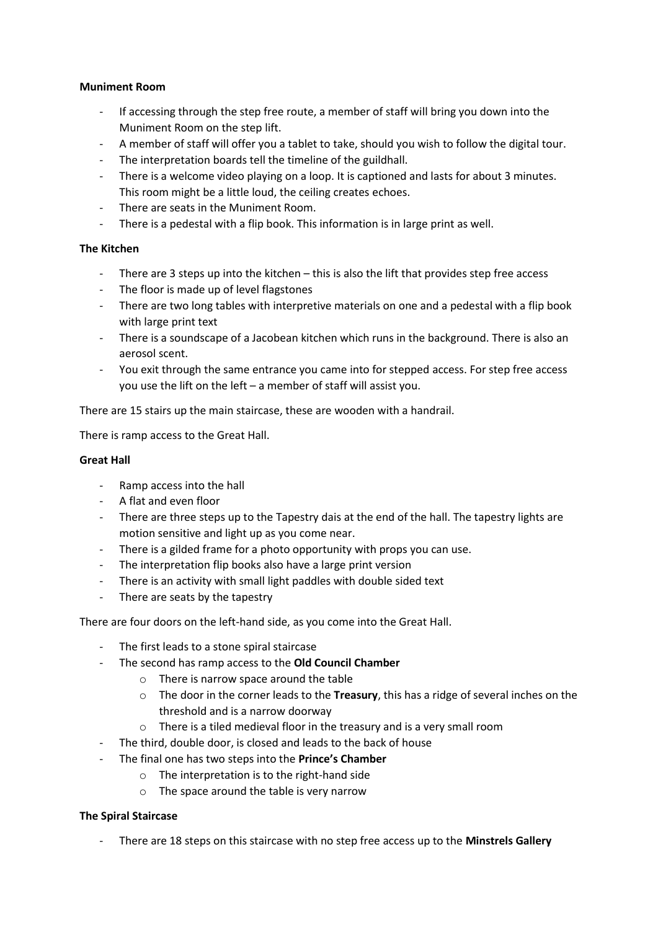### **Muniment Room**

- If accessing through the step free route, a member of staff will bring you down into the Muniment Room on the step lift.
- A member of staff will offer you a tablet to take, should you wish to follow the digital tour.
- The interpretation boards tell the timeline of the guildhall.
- There is a welcome video playing on a loop. It is captioned and lasts for about 3 minutes. This room might be a little loud, the ceiling creates echoes.
- There are seats in the Muniment Room.
- There is a pedestal with a flip book. This information is in large print as well.

## **The Kitchen**

- There are 3 steps up into the kitchen this is also the lift that provides step free access
- The floor is made up of level flagstones
- There are two long tables with interpretive materials on one and a pedestal with a flip book with large print text
- There is a soundscape of a Jacobean kitchen which runs in the background. There is also an aerosol scent.
- You exit through the same entrance you came into for stepped access. For step free access you use the lift on the left – a member of staff will assist you.

There are 15 stairs up the main staircase, these are wooden with a handrail.

There is ramp access to the Great Hall.

#### **Great Hall**

- Ramp access into the hall
- A flat and even floor
- There are three steps up to the Tapestry dais at the end of the hall. The tapestry lights are motion sensitive and light up as you come near.
- There is a gilded frame for a photo opportunity with props you can use.
- The interpretation flip books also have a large print version
- There is an activity with small light paddles with double sided text
- There are seats by the tapestry

There are four doors on the left-hand side, as you come into the Great Hall.

- The first leads to a stone spiral staircase
- The second has ramp access to the **Old Council Chamber**
	- o There is narrow space around the table
	- o The door in the corner leads to the **Treasury**, this has a ridge of several inches on the threshold and is a narrow doorway
	- o There is a tiled medieval floor in the treasury and is a very small room
- The third, double door, is closed and leads to the back of house
- The final one has two steps into the **Prince's Chamber**
	- o The interpretation is to the right-hand side
	- o The space around the table is very narrow

## **The Spiral Staircase**

- There are 18 steps on this staircase with no step free access up to the **Minstrels Gallery**